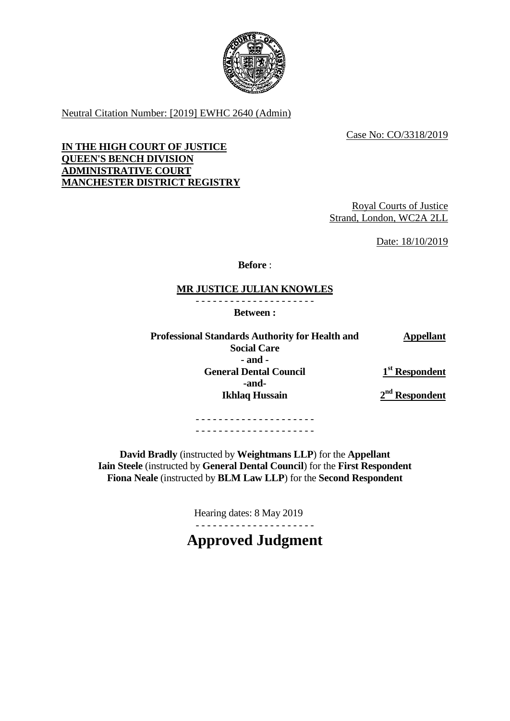

Neutral Citation Number: [2019] EWHC 2640 (Admin)

Case No: CO/3318/2019

# **IN THE HIGH COURT OF JUSTICE QUEEN'S BENCH DIVISION ADMINISTRATIVE COURT MANCHESTER DISTRICT REGISTRY**

Royal Courts of Justice Strand, London, WC2A 2LL

Date: 18/10/2019

**Before** :

# **MR JUSTICE JULIAN KNOWLES**

- - - - - - - - - - - - - - - - - - - - -

**Between :**

**Professional Standards Authority for Health and Social Care Appellant - and - General Dental Council -and-Ikhlaq Hussain 1 st Respondent 2 nd Respondent**

> - - - - - - - - - - - - - - - - - - - - - - - - - - - - - - - - - - - - - - - - - -

**David Bradly** (instructed by **Weightmans LLP**) for the **Appellant Iain Steele** (instructed by **General Dental Council**) for the **First Respondent Fiona Neale** (instructed by **BLM Law LLP**) for the **Second Respondent**

> Hearing dates: 8 May 2019 - - - - - - - - - - - - - - - - - - - - -

**Approved Judgment**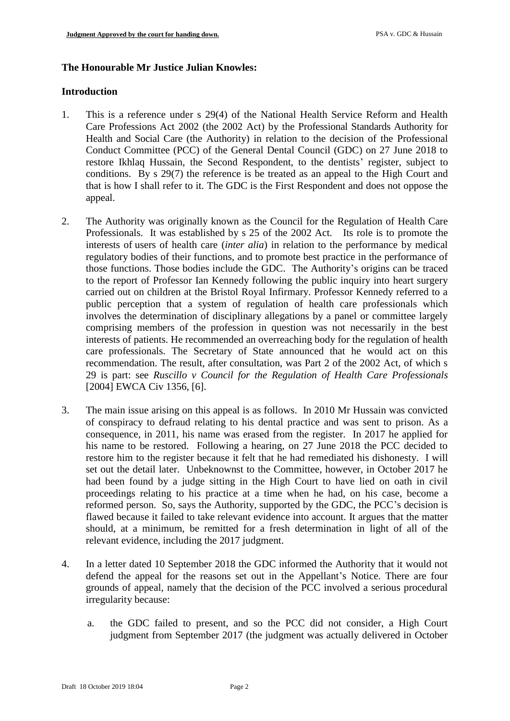## **The Honourable Mr Justice Julian Knowles:**

### **Introduction**

- 1. This is a reference under s 29(4) of the National Health Service Reform and Health Care Professions Act 2002 (the 2002 Act) by the Professional Standards Authority for Health and Social Care (the Authority) in relation to the decision of the Professional Conduct Committee (PCC) of the General Dental Council (GDC) on 27 June 2018 to restore Ikhlaq Hussain, the Second Respondent, to the dentists' register, subject to conditions. By s 29(7) the reference is be treated as an appeal to the High Court and that is how I shall refer to it. The GDC is the First Respondent and does not oppose the appeal.
- 2. The Authority was originally known as the Council for the Regulation of Health Care Professionals. It was established by s 25 of the 2002 Act. Its role is to promote the interests of users of health care (*inter alia*) in relation to the performance by medical regulatory bodies of their functions, and to promote best practice in the performance of those functions. Those bodies include the GDC. The Authority's origins can be traced to the report of Professor Ian Kennedy following the public inquiry into heart surgery carried out on children at the Bristol Royal Infirmary. Professor Kennedy referred to a public perception that a system of regulation of health care professionals which involves the determination of disciplinary allegations by a panel or committee largely comprising members of the profession in question was not necessarily in the best interests of patients. He recommended an overreaching body for the regulation of health care professionals. The Secretary of State announced that he would act on this recommendation. The result, after consultation, was Part 2 of the 2002 Act, of which s 29 is part: see *Ruscillo v Council for the Regulation of Health Care Professionals* [2004] EWCA Civ 1356, [6].
- 3. The main issue arising on this appeal is as follows. In 2010 Mr Hussain was convicted of conspiracy to defraud relating to his dental practice and was sent to prison. As a consequence, in 2011, his name was erased from the register. In 2017 he applied for his name to be restored. Following a hearing, on 27 June 2018 the PCC decided to restore him to the register because it felt that he had remediated his dishonesty. I will set out the detail later. Unbeknownst to the Committee, however, in October 2017 he had been found by a judge sitting in the High Court to have lied on oath in civil proceedings relating to his practice at a time when he had, on his case, become a reformed person. So, says the Authority, supported by the GDC, the PCC's decision is flawed because it failed to take relevant evidence into account. It argues that the matter should, at a minimum, be remitted for a fresh determination in light of all of the relevant evidence, including the 2017 judgment.
- 4. In a letter dated 10 September 2018 the GDC informed the Authority that it would not defend the appeal for the reasons set out in the Appellant's Notice. There are four grounds of appeal, namely that the decision of the PCC involved a serious procedural irregularity because:
	- a. the GDC failed to present, and so the PCC did not consider, a High Court judgment from September 2017 (the judgment was actually delivered in October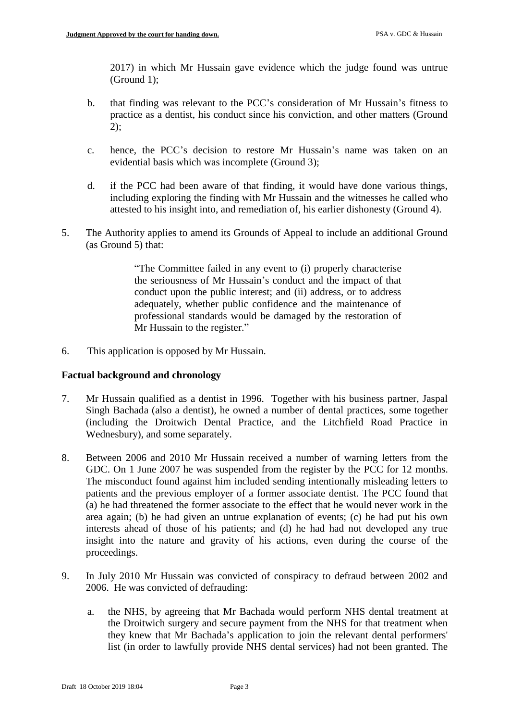2017) in which Mr Hussain gave evidence which the judge found was untrue (Ground 1);

- b. that finding was relevant to the PCC's consideration of Mr Hussain's fitness to practice as a dentist, his conduct since his conviction, and other matters (Ground 2);
- c. hence, the PCC's decision to restore Mr Hussain's name was taken on an evidential basis which was incomplete (Ground 3);
- d. if the PCC had been aware of that finding, it would have done various things, including exploring the finding with Mr Hussain and the witnesses he called who attested to his insight into, and remediation of, his earlier dishonesty (Ground 4).
- 5. The Authority applies to amend its Grounds of Appeal to include an additional Ground (as Ground 5) that:

"The Committee failed in any event to (i) properly characterise the seriousness of Mr Hussain's conduct and the impact of that conduct upon the public interest; and (ii) address, or to address adequately, whether public confidence and the maintenance of professional standards would be damaged by the restoration of Mr Hussain to the register."

6. This application is opposed by Mr Hussain.

## **Factual background and chronology**

- 7. Mr Hussain qualified as a dentist in 1996. Together with his business partner, Jaspal Singh Bachada (also a dentist), he owned a number of dental practices, some together (including the Droitwich Dental Practice, and the Litchfield Road Practice in Wednesbury), and some separately.
- 8. Between 2006 and 2010 Mr Hussain received a number of warning letters from the GDC. On 1 June 2007 he was suspended from the register by the PCC for 12 months. The misconduct found against him included sending intentionally misleading letters to patients and the previous employer of a former associate dentist. The PCC found that (a) he had threatened the former associate to the effect that he would never work in the area again; (b) he had given an untrue explanation of events; (c) he had put his own interests ahead of those of his patients; and (d) he had had not developed any true insight into the nature and gravity of his actions, even during the course of the proceedings.
- 9. In July 2010 Mr Hussain was convicted of conspiracy to defraud between 2002 and 2006. He was convicted of defrauding:
	- a. the NHS, by agreeing that Mr Bachada would perform NHS dental treatment at the Droitwich surgery and secure payment from the NHS for that treatment when they knew that Mr Bachada's application to join the relevant dental performers' list (in order to lawfully provide NHS dental services) had not been granted. The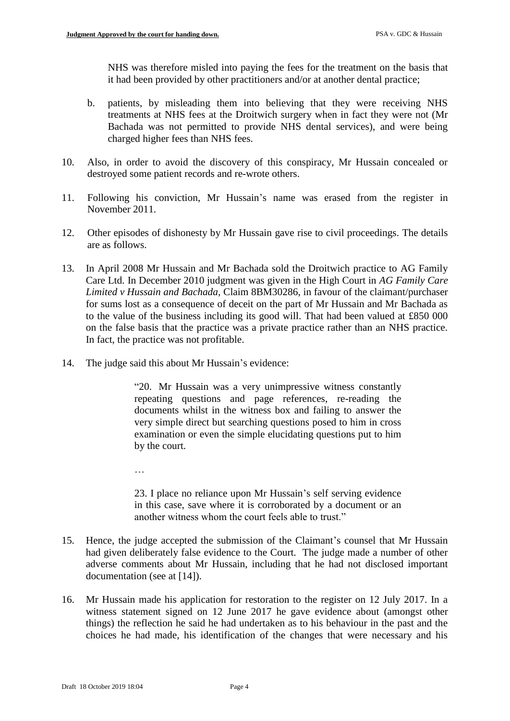NHS was therefore misled into paying the fees for the treatment on the basis that it had been provided by other practitioners and/or at another dental practice;

- b. patients, by misleading them into believing that they were receiving NHS treatments at NHS fees at the Droitwich surgery when in fact they were not (Mr Bachada was not permitted to provide NHS dental services), and were being charged higher fees than NHS fees.
- 10. Also, in order to avoid the discovery of this conspiracy, Mr Hussain concealed or destroyed some patient records and re-wrote others.
- 11. Following his conviction, Mr Hussain's name was erased from the register in November 2011.
- 12. Other episodes of dishonesty by Mr Hussain gave rise to civil proceedings. The details are as follows.
- 13. In April 2008 Mr Hussain and Mr Bachada sold the Droitwich practice to AG Family Care Ltd. In December 2010 judgment was given in the High Court in *AG Family Care Limited v Hussain and Bachada,* Claim 8BM30286, in favour of the claimant/purchaser for sums lost as a consequence of deceit on the part of Mr Hussain and Mr Bachada as to the value of the business including its good will. That had been valued at £850 000 on the false basis that the practice was a private practice rather than an NHS practice. In fact, the practice was not profitable.
- 14. The judge said this about Mr Hussain's evidence:

…

"20. Mr Hussain was a very unimpressive witness constantly repeating questions and page references, re-reading the documents whilst in the witness box and failing to answer the very simple direct but searching questions posed to him in cross examination or even the simple elucidating questions put to him by the court.

23. I place no reliance upon Mr Hussain's self serving evidence in this case, save where it is corroborated by a document or an another witness whom the court feels able to trust."

- 15. Hence, the judge accepted the submission of the Claimant's counsel that Mr Hussain had given deliberately false evidence to the Court. The judge made a number of other adverse comments about Mr Hussain, including that he had not disclosed important documentation (see at [14]).
- 16. Mr Hussain made his application for restoration to the register on 12 July 2017. In a witness statement signed on 12 June 2017 he gave evidence about (amongst other things) the reflection he said he had undertaken as to his behaviour in the past and the choices he had made, his identification of the changes that were necessary and his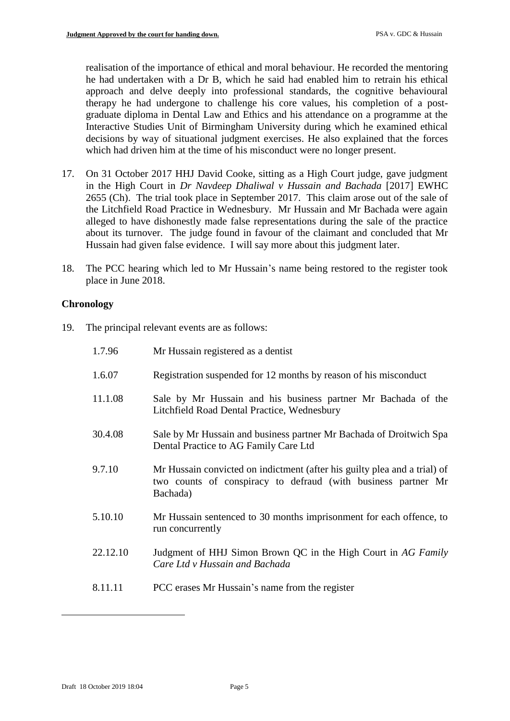realisation of the importance of ethical and moral behaviour. He recorded the mentoring he had undertaken with a Dr B, which he said had enabled him to retrain his ethical approach and delve deeply into professional standards, the cognitive behavioural therapy he had undergone to challenge his core values, his completion of a postgraduate diploma in Dental Law and Ethics and his attendance on a programme at the Interactive Studies Unit of Birmingham University during which he examined ethical decisions by way of situational judgment exercises. He also explained that the forces which had driven him at the time of his misconduct were no longer present.

- 17. On 31 October 2017 HHJ David Cooke, sitting as a High Court judge, gave judgment in the High Court in *Dr Navdeep Dhaliwal v Hussain and Bachada* [2017] EWHC 2655 (Ch). The trial took place in September 2017. This claim arose out of the sale of the Litchfield Road Practice in Wednesbury. Mr Hussain and Mr Bachada were again alleged to have dishonestly made false representations during the sale of the practice about its turnover. The judge found in favour of the claimant and concluded that Mr Hussain had given false evidence. I will say more about this judgment later.
- 18. The PCC hearing which led to Mr Hussain's name being restored to the register took place in June 2018.

# **Chronology**

19. The principal relevant events are as follows:

| 1.7.96   | Mr Hussain registered as a dentist                                                                                                                     |
|----------|--------------------------------------------------------------------------------------------------------------------------------------------------------|
| 1.6.07   | Registration suspended for 12 months by reason of his misconduct                                                                                       |
| 11.1.08  | Sale by Mr Hussain and his business partner Mr Bachada of the<br>Litchfield Road Dental Practice, Wednesbury                                           |
| 30.4.08  | Sale by Mr Hussain and business partner Mr Bachada of Droitwich Spa<br>Dental Practice to AG Family Care Ltd                                           |
| 9.7.10   | Mr Hussain convicted on indictment (after his guilty plea and a trial) of<br>two counts of conspiracy to defraud (with business partner Mr<br>Bachada) |
| 5.10.10  | Mr Hussain sentenced to 30 months imprisonment for each offence, to<br>run concurrently                                                                |
| 22.12.10 | Judgment of HHJ Simon Brown QC in the High Court in AG Family<br>Care Ltd v Hussain and Bachada                                                        |
| 8.11.11  | PCC erases Mr Hussain's name from the register                                                                                                         |
|          |                                                                                                                                                        |

-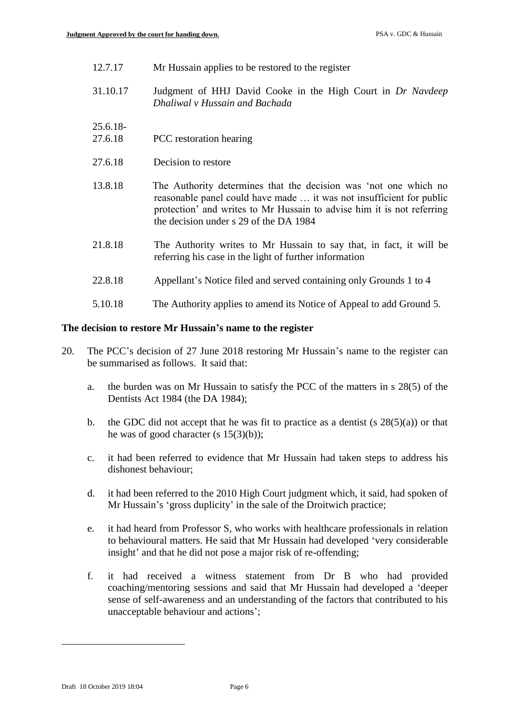- 12.7.17 Mr Hussain applies to be restored to the register
- 31.10.17 Judgment of HHJ David Cooke in the High Court in *Dr Navdeep Dhaliwal v Hussain and Bachada*

25.6.18-

- 27.6.18 PCC restoration hearing
- 27.6.18 Decision to restore
- 13.8.18 The Authority determines that the decision was 'not one which no reasonable panel could have made … it was not insufficient for public protection' and writes to Mr Hussain to advise him it is not referring the decision under s 29 of the DA 1984
- 21.8.18 The Authority writes to Mr Hussain to say that, in fact, it will be referring his case in the light of further information
- 22.8.18 Appellant's Notice filed and served containing only Grounds 1 to 4
- 5.10.18 The Authority applies to amend its Notice of Appeal to add Ground 5.

# **The decision to restore Mr Hussain's name to the register**

- 20. The PCC's decision of 27 June 2018 restoring Mr Hussain's name to the register can be summarised as follows. It said that:
	- a. the burden was on Mr Hussain to satisfy the PCC of the matters in s 28(5) of the Dentists Act 1984 (the DA 1984);
	- b. the GDC did not accept that he was fit to practice as a dentist  $(s 28(5)(a))$  or that he was of good character (s 15(3)(b));
	- c. it had been referred to evidence that Mr Hussain had taken steps to address his dishonest behaviour;
	- d. it had been referred to the 2010 High Court judgment which, it said, had spoken of Mr Hussain's 'gross duplicity' in the sale of the Droitwich practice;
	- e. it had heard from Professor S, who works with healthcare professionals in relation to behavioural matters. He said that Mr Hussain had developed 'very considerable insight' and that he did not pose a major risk of re-offending;
	- f. it had received a witness statement from Dr B who had provided coaching/mentoring sessions and said that Mr Hussain had developed a 'deeper sense of self-awareness and an understanding of the factors that contributed to his unacceptable behaviour and actions';

1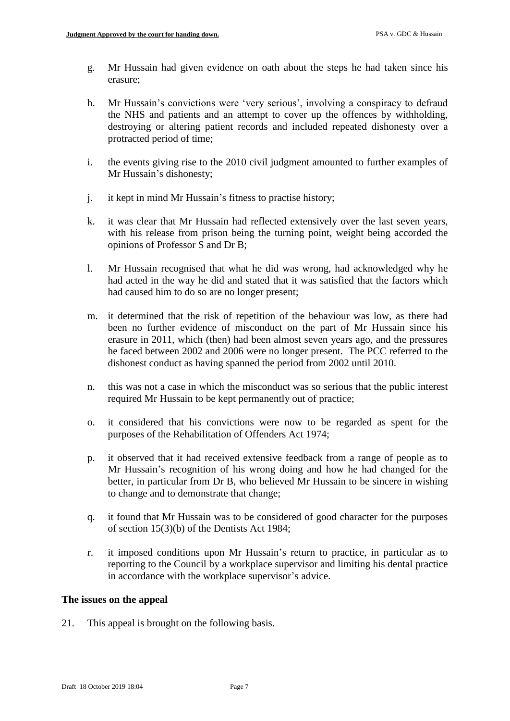- g. Mr Hussain had given evidence on oath about the steps he had taken since his erasure;
- h. Mr Hussain's convictions were 'very serious', involving a conspiracy to defraud the NHS and patients and an attempt to cover up the offences by withholding, destroying or altering patient records and included repeated dishonesty over a protracted period of time;
- i. the events giving rise to the 2010 civil judgment amounted to further examples of Mr Hussain's dishonesty;
- j. it kept in mind Mr Hussain's fitness to practise history;
- k. it was clear that Mr Hussain had reflected extensively over the last seven years, with his release from prison being the turning point, weight being accorded the opinions of Professor S and Dr B;
- l. Mr Hussain recognised that what he did was wrong, had acknowledged why he had acted in the way he did and stated that it was satisfied that the factors which had caused him to do so are no longer present;
- m. it determined that the risk of repetition of the behaviour was low, as there had been no further evidence of misconduct on the part of Mr Hussain since his erasure in 2011, which (then) had been almost seven years ago, and the pressures he faced between 2002 and 2006 were no longer present. The PCC referred to the dishonest conduct as having spanned the period from 2002 until 2010.
- n. this was not a case in which the misconduct was so serious that the public interest required Mr Hussain to be kept permanently out of practice;
- o. it considered that his convictions were now to be regarded as spent for the purposes of the Rehabilitation of Offenders Act 1974;
- p. it observed that it had received extensive feedback from a range of people as to Mr Hussain's recognition of his wrong doing and how he had changed for the better, in particular from Dr B, who believed Mr Hussain to be sincere in wishing to change and to demonstrate that change;
- q. it found that Mr Hussain was to be considered of good character for the purposes of section 15(3)(b) of the Dentists Act 1984;
- r. it imposed conditions upon Mr Hussain's return to practice, in particular as to reporting to the Council by a workplace supervisor and limiting his dental practice in accordance with the workplace supervisor's advice.

### **The issues on the appeal**

21. This appeal is brought on the following basis.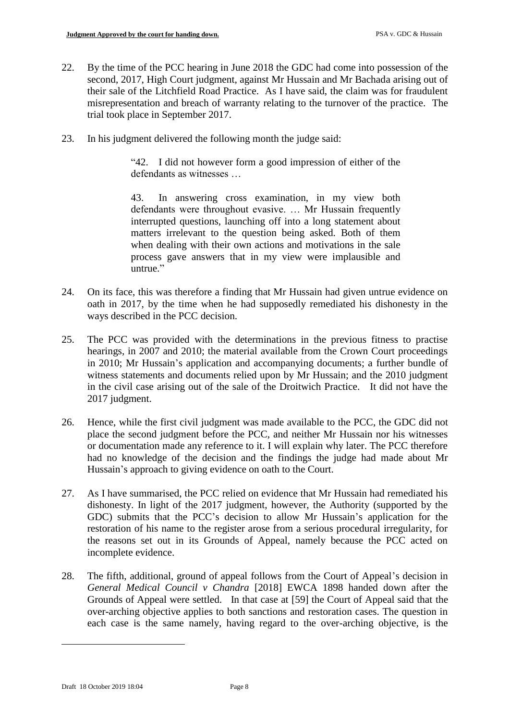- 22. By the time of the PCC hearing in June 2018 the GDC had come into possession of the second, 2017, High Court judgment, against Mr Hussain and Mr Bachada arising out of their sale of the Litchfield Road Practice. As I have said, the claim was for fraudulent misrepresentation and breach of warranty relating to the turnover of the practice. The trial took place in September 2017.
- 23. In his judgment delivered the following month the judge said:

"42. I did not however form a good impression of either of the defendants as witnesses …

43. In answering cross examination, in my view both defendants were throughout evasive. … Mr Hussain frequently interrupted questions, launching off into a long statement about matters irrelevant to the question being asked. Both of them when dealing with their own actions and motivations in the sale process gave answers that in my view were implausible and untrue."

- 24. On its face, this was therefore a finding that Mr Hussain had given untrue evidence on oath in 2017, by the time when he had supposedly remediated his dishonesty in the ways described in the PCC decision.
- 25. The PCC was provided with the determinations in the previous fitness to practise hearings, in 2007 and 2010; the material available from the Crown Court proceedings in 2010; Mr Hussain's application and accompanying documents; a further bundle of witness statements and documents relied upon by Mr Hussain; and the 2010 judgment in the civil case arising out of the sale of the Droitwich Practice. It did not have the 2017 judgment.
- 26. Hence, while the first civil judgment was made available to the PCC, the GDC did not place the second judgment before the PCC, and neither Mr Hussain nor his witnesses or documentation made any reference to it. I will explain why later. The PCC therefore had no knowledge of the decision and the findings the judge had made about Mr Hussain's approach to giving evidence on oath to the Court.
- 27. As I have summarised, the PCC relied on evidence that Mr Hussain had remediated his dishonesty. In light of the 2017 judgment, however, the Authority (supported by the GDC) submits that the PCC's decision to allow Mr Hussain's application for the restoration of his name to the register arose from a serious procedural irregularity, for the reasons set out in its Grounds of Appeal, namely because the PCC acted on incomplete evidence.
- 28. The fifth, additional, ground of appeal follows from the Court of Appeal's decision in *General Medical Council v Chandra* [2018] EWCA 1898 handed down after the Grounds of Appeal were settled. In that case at [59] the Court of Appeal said that the over-arching objective applies to both sanctions and restoration cases. The question in each case is the same namely, having regard to the over-arching objective, is the

1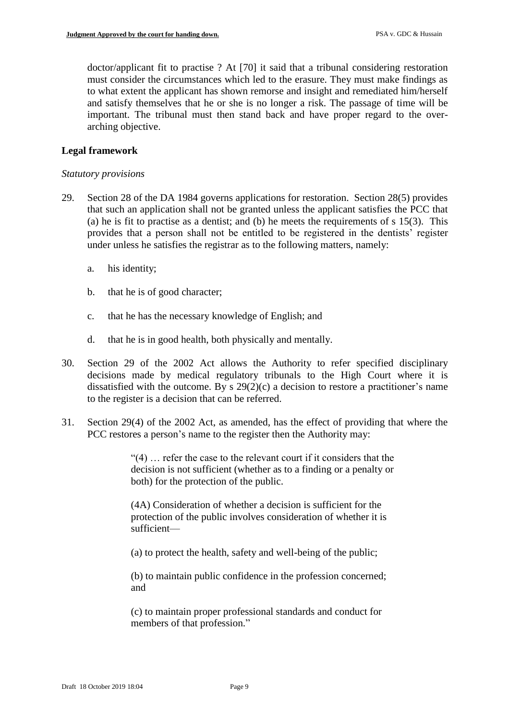doctor/applicant fit to practise ? At [70] it said that a tribunal considering restoration must consider the circumstances which led to the erasure. They must make findings as to what extent the applicant has shown remorse and insight and remediated him/herself and satisfy themselves that he or she is no longer a risk. The passage of time will be important. The tribunal must then stand back and have proper regard to the overarching objective.

## **Legal framework**

### *Statutory provisions*

- 29. Section 28 of the DA 1984 governs applications for restoration. Section 28(5) provides that such an application shall not be granted unless the applicant satisfies the PCC that (a) he is fit to practise as a dentist; and (b) he meets the requirements of  $s$  15(3). This provides that a person shall not be entitled to be registered in the dentists' register under unless he satisfies the registrar as to the following matters, namely:
	- a. his identity;
	- b. that he is of good character;
	- c. that he has the necessary knowledge of English; and
	- d. that he is in good health, both physically and mentally.
- 30. Section 29 of the 2002 Act allows the Authority to refer specified disciplinary decisions made by medical regulatory tribunals to the High Court where it is dissatisfied with the outcome. By s 29(2)(c) a decision to restore a practitioner's name to the register is a decision that can be referred.
- 31. Section 29(4) of the 2002 Act, as amended, has the effect of providing that where the PCC restores a person's name to the register then the Authority may:

"(4) … refer the case to the relevant court if it considers that the decision is not sufficient (whether as to a finding or a penalty or both) for the protection of the public.

(4A) Consideration of whether a decision is sufficient for the protection of the public involves consideration of whether it is sufficient—

(a) to protect the health, safety and well-being of the public;

(b) to maintain public confidence in the profession concerned; and

(c) to maintain proper professional standards and conduct for members of that profession."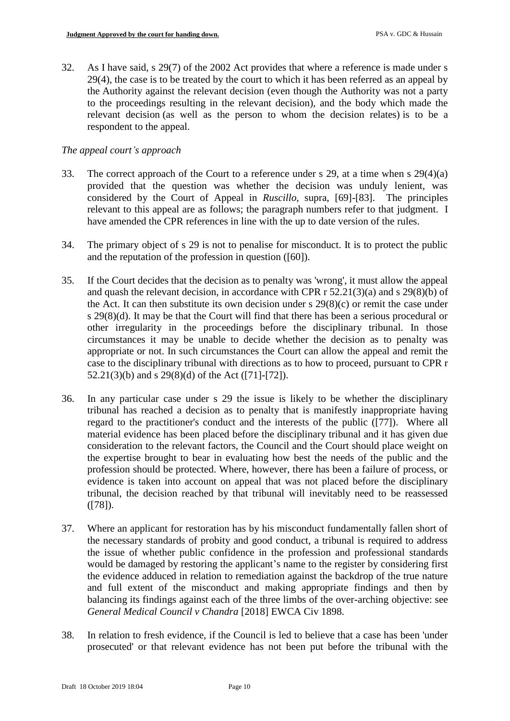32. As I have said, s 29(7) of the 2002 Act provides that where a reference is made under s 29(4), the case is to be treated by the court to which it has been referred as an appeal by the Authority against the relevant decision (even though the Authority was not a party to the proceedings resulting in the relevant decision), and the body which made the relevant decision (as well as the person to whom the decision relates) is to be a respondent to the appeal.

# *The appeal court's approach*

- 33. The correct approach of the Court to a reference under s 29, at a time when s 29(4)(a) provided that the question was whether the decision was unduly lenient, was considered by the Court of Appeal in *Ruscillo*, supra, [69]-[83]. The principles relevant to this appeal are as follows; the paragraph numbers refer to that judgment. I have amended the CPR references in line with the up to date version of the rules.
- 34. The primary object of s 29 is not to penalise for misconduct. It is to protect the public and the reputation of the profession in question ([60]).
- 35. If the Court decides that the decision as to penalty was 'wrong', it must allow the appeal and quash the relevant decision, in accordance with CPR r 52.21(3)(a) and s 29(8)(b) of the Act. It can then substitute its own decision under  $s$  29(8)(c) or remit the case under s 29(8)(d). It may be that the Court will find that there has been a serious procedural or other irregularity in the proceedings before the disciplinary tribunal. In those circumstances it may be unable to decide whether the decision as to penalty was appropriate or not. In such circumstances the Court can allow the appeal and remit the case to the disciplinary tribunal with directions as to how to proceed, pursuant to CPR r 52.21(3)(b) and s 29(8)(d) of the Act ([71]-[72]).
- 36. In any particular case under s 29 the issue is likely to be whether the disciplinary tribunal has reached a decision as to penalty that is manifestly inappropriate having regard to the practitioner's conduct and the interests of the public ([77]). Where all material evidence has been placed before the disciplinary tribunal and it has given due consideration to the relevant factors, the Council and the Court should place weight on the expertise brought to bear in evaluating how best the needs of the public and the profession should be protected. Where, however, there has been a failure of process, or evidence is taken into account on appeal that was not placed before the disciplinary tribunal, the decision reached by that tribunal will inevitably need to be reassessed ([78]).
- 37. Where an applicant for restoration has by his misconduct fundamentally fallen short of the necessary standards of probity and good conduct, a tribunal is required to address the issue of whether public confidence in the profession and professional standards would be damaged by restoring the applicant's name to the register by considering first the evidence adduced in relation to remediation against the backdrop of the true nature and full extent of the misconduct and making appropriate findings and then by balancing its findings against each of the three limbs of the over-arching objective: see *General Medical Council v Chandra* [2018] EWCA Civ 1898.
- 38. In relation to fresh evidence, if the Council is led to believe that a case has been 'under prosecuted' or that relevant evidence has not been put before the tribunal with the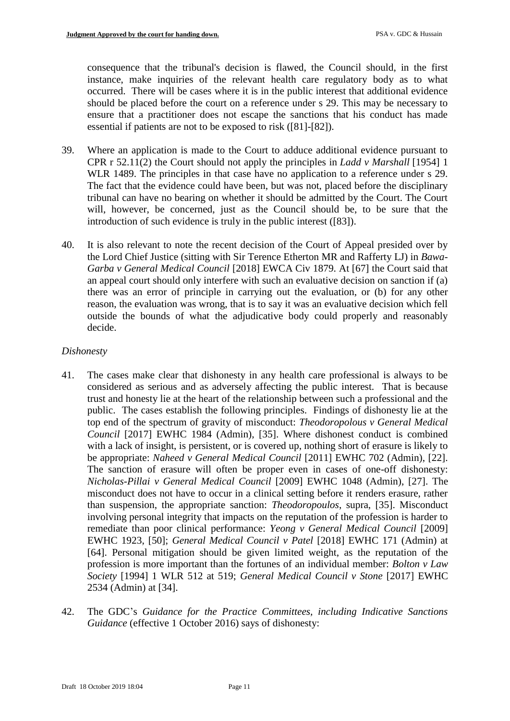consequence that the tribunal's decision is flawed, the Council should, in the first instance, make inquiries of the relevant health care regulatory body as to what occurred. There will be cases where it is in the public interest that additional evidence should be placed before the court on a reference under s 29. This may be necessary to ensure that a practitioner does not escape the sanctions that his conduct has made essential if patients are not to be exposed to risk ([81]-[82]).

- 39. Where an application is made to the Court to adduce additional evidence pursuant to CPR r 52.11(2) the Court should not apply the principles in *Ladd v Marshall* [1954] 1 WLR 1489. The principles in that case have no application to a reference under s 29. The fact that the evidence could have been, but was not, placed before the disciplinary tribunal can have no bearing on whether it should be admitted by the Court. The Court will, however, be concerned, just as the Council should be, to be sure that the introduction of such evidence is truly in the public interest ([83]).
- 40. It is also relevant to note the recent decision of the Court of Appeal presided over by the Lord Chief Justice (sitting with Sir Terence Etherton MR and Rafferty LJ) in *Bawa-Garba v General Medical Council* [2018] EWCA Civ 1879. At [67] the Court said that an appeal court should only interfere with such an evaluative decision on sanction if (a) there was an error of principle in carrying out the evaluation, or (b) for any other reason, the evaluation was wrong, that is to say it was an evaluative decision which fell outside the bounds of what the adjudicative body could properly and reasonably decide.

# *Dishonesty*

- 41. The cases make clear that dishonesty in any health care professional is always to be considered as serious and as adversely affecting the public interest. That is because trust and honesty lie at the heart of the relationship between such a professional and the public. The cases establish the following principles. Findings of dishonesty lie at the top end of the spectrum of gravity of misconduct: *Theodoropolous v General Medical Council* [2017] EWHC 1984 (Admin), [35]. Where dishonest conduct is combined with a lack of insight, is persistent, or is covered up, nothing short of erasure is likely to be appropriate: *Naheed v General Medical Council* [2011] EWHC 702 (Admin), [22]. The sanction of erasure will often be proper even in cases of one-off dishonesty: *Nicholas-Pillai v General Medical Council* [2009] EWHC 1048 (Admin), [27]. The misconduct does not have to occur in a clinical setting before it renders erasure, rather than suspension, the appropriate sanction: *Theodoropoulos*, supra, [35]. Misconduct involving personal integrity that impacts on the reputation of the profession is harder to remediate than poor clinical performance: *Yeong v General Medical Council* [2009] EWHC 1923, [50]; *General Medical Council v Patel* [2018] EWHC 171 (Admin) at [64]. Personal mitigation should be given limited weight, as the reputation of the profession is more important than the fortunes of an individual member: *Bolton v Law Society* [1994] 1 WLR 512 at 519; *General Medical Council v Stone* [2017] EWHC 2534 (Admin) at [34].
- 42. The GDC's *Guidance for the Practice Committees, including Indicative Sanctions Guidance* (effective 1 October 2016) says of dishonesty: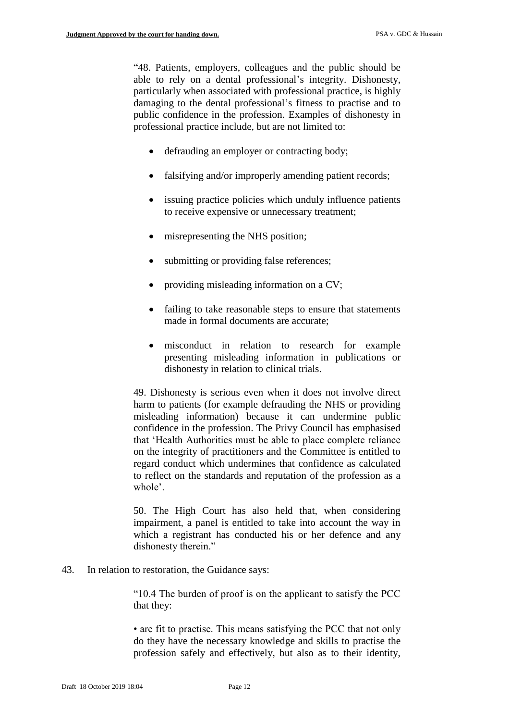"48. Patients, employers, colleagues and the public should be able to rely on a dental professional's integrity. Dishonesty, particularly when associated with professional practice, is highly damaging to the dental professional's fitness to practise and to public confidence in the profession. Examples of dishonesty in professional practice include, but are not limited to:

- defrauding an employer or contracting body;
- falsifying and/or improperly amending patient records;
- issuing practice policies which unduly influence patients to receive expensive or unnecessary treatment;
- misrepresenting the NHS position;
- submitting or providing false references;
- providing misleading information on a CV;
- failing to take reasonable steps to ensure that statements made in formal documents are accurate;
- misconduct in relation to research for example presenting misleading information in publications or dishonesty in relation to clinical trials.

49. Dishonesty is serious even when it does not involve direct harm to patients (for example defrauding the NHS or providing misleading information) because it can undermine public confidence in the profession. The Privy Council has emphasised that 'Health Authorities must be able to place complete reliance on the integrity of practitioners and the Committee is entitled to regard conduct which undermines that confidence as calculated to reflect on the standards and reputation of the profession as a whole'.

50. The High Court has also held that, when considering impairment, a panel is entitled to take into account the way in which a registrant has conducted his or her defence and any dishonesty therein."

43. In relation to restoration, the Guidance says:

"10.4 The burden of proof is on the applicant to satisfy the PCC that they:

• are fit to practise. This means satisfying the PCC that not only do they have the necessary knowledge and skills to practise the profession safely and effectively, but also as to their identity,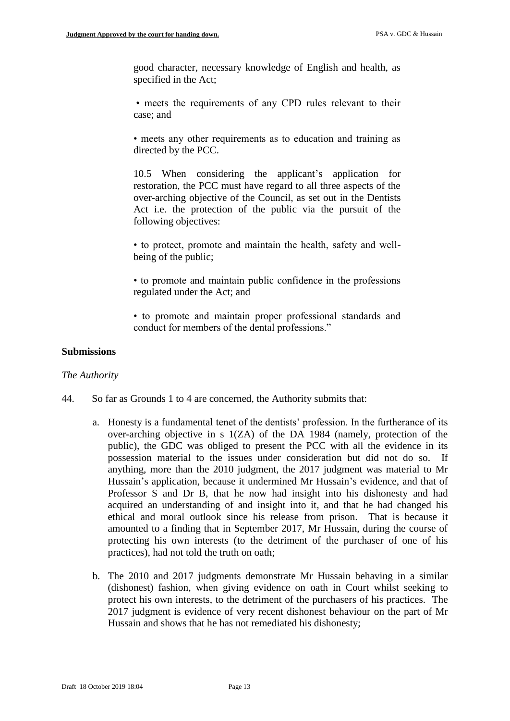good character, necessary knowledge of English and health, as specified in the Act;

• meets the requirements of any CPD rules relevant to their case; and

• meets any other requirements as to education and training as directed by the PCC.

10.5 When considering the applicant's application for restoration, the PCC must have regard to all three aspects of the over-arching objective of the Council, as set out in the Dentists Act i.e. the protection of the public via the pursuit of the following objectives:

• to protect, promote and maintain the health, safety and wellbeing of the public;

• to promote and maintain public confidence in the professions regulated under the Act; and

• to promote and maintain proper professional standards and conduct for members of the dental professions."

## **Submissions**

#### *The Authority*

- 44. So far as Grounds 1 to 4 are concerned, the Authority submits that:
	- a. Honesty is a fundamental tenet of the dentists' profession. In the furtherance of its over-arching objective in s 1(ZA) of the DA 1984 (namely, protection of the public), the GDC was obliged to present the PCC with all the evidence in its possession material to the issues under consideration but did not do so. If anything, more than the 2010 judgment, the 2017 judgment was material to Mr Hussain's application, because it undermined Mr Hussain's evidence, and that of Professor S and Dr B, that he now had insight into his dishonesty and had acquired an understanding of and insight into it, and that he had changed his ethical and moral outlook since his release from prison. That is because it amounted to a finding that in September 2017, Mr Hussain, during the course of protecting his own interests (to the detriment of the purchaser of one of his practices), had not told the truth on oath;
	- b. The 2010 and 2017 judgments demonstrate Mr Hussain behaving in a similar (dishonest) fashion, when giving evidence on oath in Court whilst seeking to protect his own interests, to the detriment of the purchasers of his practices. The 2017 judgment is evidence of very recent dishonest behaviour on the part of Mr Hussain and shows that he has not remediated his dishonesty;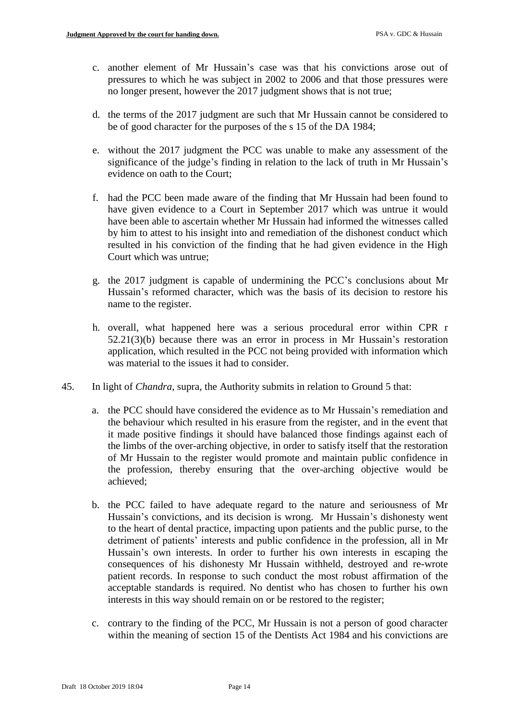- c. another element of Mr Hussain's case was that his convictions arose out of pressures to which he was subject in 2002 to 2006 and that those pressures were no longer present, however the 2017 judgment shows that is not true;
- d. the terms of the 2017 judgment are such that Mr Hussain cannot be considered to be of good character for the purposes of the s 15 of the DA 1984;
- e. without the 2017 judgment the PCC was unable to make any assessment of the significance of the judge's finding in relation to the lack of truth in Mr Hussain's evidence on oath to the Court;
- f. had the PCC been made aware of the finding that Mr Hussain had been found to have given evidence to a Court in September 2017 which was untrue it would have been able to ascertain whether Mr Hussain had informed the witnesses called by him to attest to his insight into and remediation of the dishonest conduct which resulted in his conviction of the finding that he had given evidence in the High Court which was untrue;
- g. the 2017 judgment is capable of undermining the PCC's conclusions about Mr Hussain's reformed character, which was the basis of its decision to restore his name to the register.
- h. overall, what happened here was a serious procedural error within CPR r 52.21(3)(b) because there was an error in process in Mr Hussain's restoration application, which resulted in the PCC not being provided with information which was material to the issues it had to consider.
- 45. In light of *Chandra*, supra, the Authority submits in relation to Ground 5 that:
	- a. the PCC should have considered the evidence as to Mr Hussain's remediation and the behaviour which resulted in his erasure from the register, and in the event that it made positive findings it should have balanced those findings against each of the limbs of the over-arching objective, in order to satisfy itself that the restoration of Mr Hussain to the register would promote and maintain public confidence in the profession, thereby ensuring that the over-arching objective would be achieved;
	- b. the PCC failed to have adequate regard to the nature and seriousness of Mr Hussain's convictions, and its decision is wrong. Mr Hussain's dishonesty went to the heart of dental practice, impacting upon patients and the public purse, to the detriment of patients' interests and public confidence in the profession, all in Mr Hussain's own interests. In order to further his own interests in escaping the consequences of his dishonesty Mr Hussain withheld, destroyed and re-wrote patient records. In response to such conduct the most robust affirmation of the acceptable standards is required. No dentist who has chosen to further his own interests in this way should remain on or be restored to the register;
	- c. contrary to the finding of the PCC, Mr Hussain is not a person of good character within the meaning of section 15 of the Dentists Act 1984 and his convictions are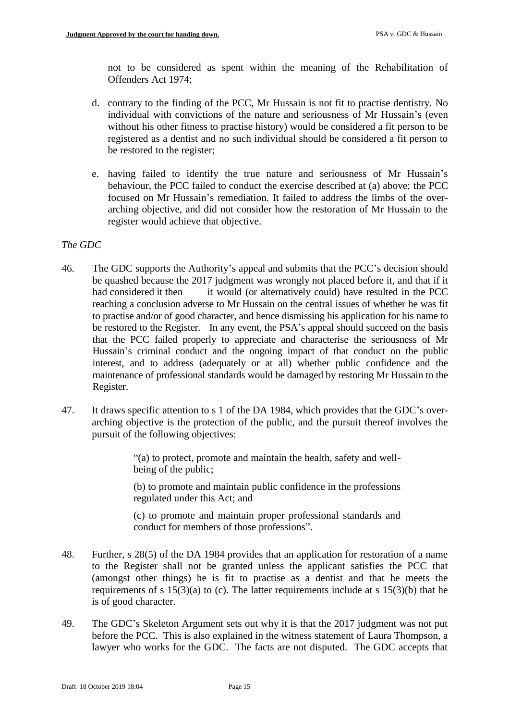not to be considered as spent within the meaning of the Rehabilitation of Offenders Act 1974;

- d. contrary to the finding of the PCC, Mr Hussain is not fit to practise dentistry. No individual with convictions of the nature and seriousness of Mr Hussain's (even without his other fitness to practise history) would be considered a fit person to be registered as a dentist and no such individual should be considered a fit person to be restored to the register;
- e. having failed to identify the true nature and seriousness of Mr Hussain's behaviour, the PCC failed to conduct the exercise described at (a) above; the PCC focused on Mr Hussain's remediation. It failed to address the limbs of the overarching objective, and did not consider how the restoration of Mr Hussain to the register would achieve that objective.

## *The GDC*

- 46. The GDC supports the Authority's appeal and submits that the PCC's decision should be quashed because the 2017 judgment was wrongly not placed before it, and that if it had considered it then it would (or alternatively could) have resulted in the PCC reaching a conclusion adverse to Mr Hussain on the central issues of whether he was fit to practise and/or of good character, and hence dismissing his application for his name to be restored to the Register. In any event, the PSA's appeal should succeed on the basis that the PCC failed properly to appreciate and characterise the seriousness of Mr Hussain's criminal conduct and the ongoing impact of that conduct on the public interest, and to address (adequately or at all) whether public confidence and the maintenance of professional standards would be damaged by restoring Mr Hussain to the Register.
- 47. It draws specific attention to s 1 of the DA 1984, which provides that the GDC's overarching objective is the protection of the public, and the pursuit thereof involves the pursuit of the following objectives:

"(a) to protect, promote and maintain the health, safety and wellbeing of the public;

(b) to promote and maintain public confidence in the professions regulated under this Act; and

(c) to promote and maintain proper professional standards and conduct for members of those professions".

- 48. Further, s 28(5) of the DA 1984 provides that an application for restoration of a name to the Register shall not be granted unless the applicant satisfies the PCC that (amongst other things) he is fit to practise as a dentist and that he meets the requirements of s  $15(3)(a)$  to (c). The latter requirements include at s  $15(3)(b)$  that he is of good character.
- 49. The GDC's Skeleton Argument sets out why it is that the 2017 judgment was not put before the PCC. This is also explained in the witness statement of Laura Thompson, a lawyer who works for the GDC. The facts are not disputed. The GDC accepts that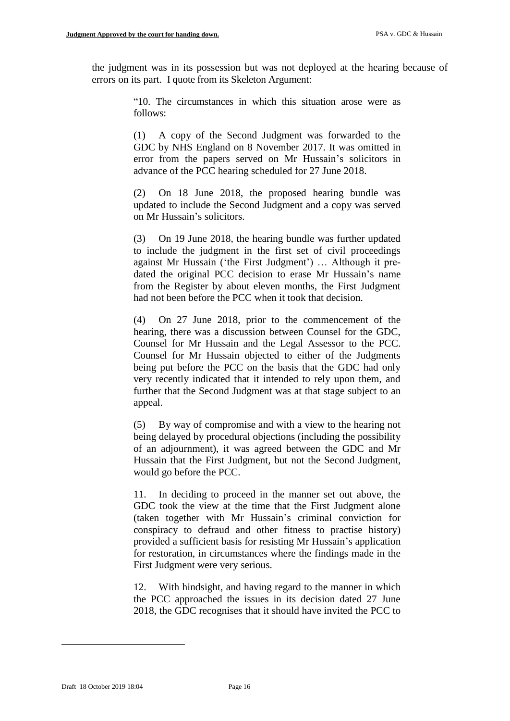the judgment was in its possession but was not deployed at the hearing because of errors on its part. I quote from its Skeleton Argument:

> "10. The circumstances in which this situation arose were as follows:

> (1) A copy of the Second Judgment was forwarded to the GDC by NHS England on 8 November 2017. It was omitted in error from the papers served on Mr Hussain's solicitors in advance of the PCC hearing scheduled for 27 June 2018.

> (2) On 18 June 2018, the proposed hearing bundle was updated to include the Second Judgment and a copy was served on Mr Hussain's solicitors.

> (3) On 19 June 2018, the hearing bundle was further updated to include the judgment in the first set of civil proceedings against Mr Hussain ('the First Judgment') … Although it predated the original PCC decision to erase Mr Hussain's name from the Register by about eleven months, the First Judgment had not been before the PCC when it took that decision.

> (4) On 27 June 2018, prior to the commencement of the hearing, there was a discussion between Counsel for the GDC, Counsel for Mr Hussain and the Legal Assessor to the PCC. Counsel for Mr Hussain objected to either of the Judgments being put before the PCC on the basis that the GDC had only very recently indicated that it intended to rely upon them, and further that the Second Judgment was at that stage subject to an appeal.

> (5) By way of compromise and with a view to the hearing not being delayed by procedural objections (including the possibility of an adjournment), it was agreed between the GDC and Mr Hussain that the First Judgment, but not the Second Judgment, would go before the PCC.

> 11. In deciding to proceed in the manner set out above, the GDC took the view at the time that the First Judgment alone (taken together with Mr Hussain's criminal conviction for conspiracy to defraud and other fitness to practise history) provided a sufficient basis for resisting Mr Hussain's application for restoration, in circumstances where the findings made in the First Judgment were very serious.

> 12. With hindsight, and having regard to the manner in which the PCC approached the issues in its decision dated 27 June 2018, the GDC recognises that it should have invited the PCC to

1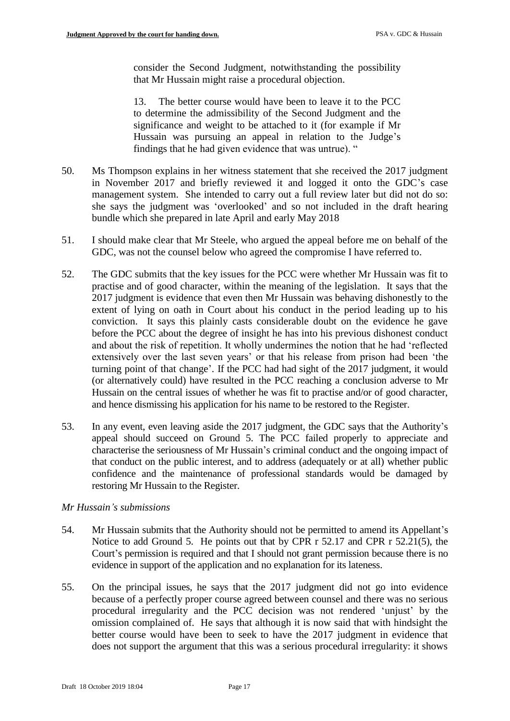consider the Second Judgment, notwithstanding the possibility that Mr Hussain might raise a procedural objection.

13. The better course would have been to leave it to the PCC to determine the admissibility of the Second Judgment and the significance and weight to be attached to it (for example if Mr Hussain was pursuing an appeal in relation to the Judge's findings that he had given evidence that was untrue). "

- 50. Ms Thompson explains in her witness statement that she received the 2017 judgment in November 2017 and briefly reviewed it and logged it onto the GDC's case management system. She intended to carry out a full review later but did not do so: she says the judgment was 'overlooked' and so not included in the draft hearing bundle which she prepared in late April and early May 2018
- 51. I should make clear that Mr Steele, who argued the appeal before me on behalf of the GDC, was not the counsel below who agreed the compromise I have referred to.
- 52. The GDC submits that the key issues for the PCC were whether Mr Hussain was fit to practise and of good character, within the meaning of the legislation. It says that the 2017 judgment is evidence that even then Mr Hussain was behaving dishonestly to the extent of lying on oath in Court about his conduct in the period leading up to his conviction. It says this plainly casts considerable doubt on the evidence he gave before the PCC about the degree of insight he has into his previous dishonest conduct and about the risk of repetition. It wholly undermines the notion that he had 'reflected extensively over the last seven years' or that his release from prison had been 'the turning point of that change'. If the PCC had had sight of the 2017 judgment, it would (or alternatively could) have resulted in the PCC reaching a conclusion adverse to Mr Hussain on the central issues of whether he was fit to practise and/or of good character, and hence dismissing his application for his name to be restored to the Register.
- 53. In any event, even leaving aside the 2017 judgment, the GDC says that the Authority's appeal should succeed on Ground 5. The PCC failed properly to appreciate and characterise the seriousness of Mr Hussain's criminal conduct and the ongoing impact of that conduct on the public interest, and to address (adequately or at all) whether public confidence and the maintenance of professional standards would be damaged by restoring Mr Hussain to the Register.

## *Mr Hussain's submissions*

- 54. Mr Hussain submits that the Authority should not be permitted to amend its Appellant's Notice to add Ground 5. He points out that by CPR r 52.17 and CPR r 52.21(5), the Court's permission is required and that I should not grant permission because there is no evidence in support of the application and no explanation for its lateness.
- 55. On the principal issues, he says that the 2017 judgment did not go into evidence because of a perfectly proper course agreed between counsel and there was no serious procedural irregularity and the PCC decision was not rendered 'unjust' by the omission complained of. He says that although it is now said that with hindsight the better course would have been to seek to have the 2017 judgment in evidence that does not support the argument that this was a serious procedural irregularity: it shows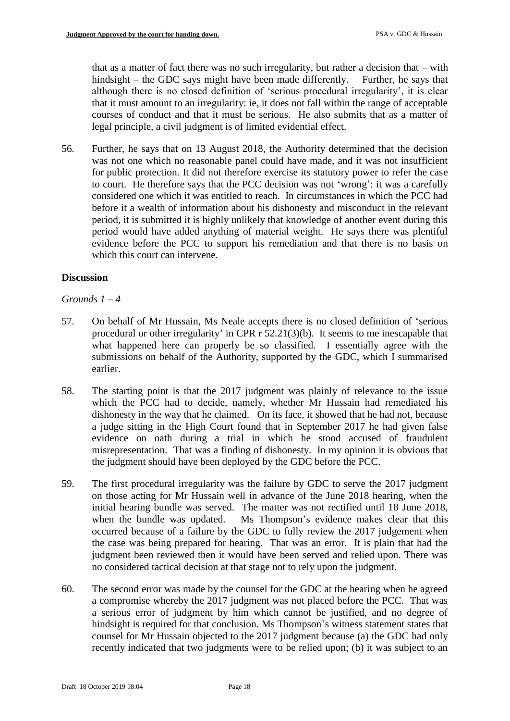that as a matter of fact there was no such irregularity, but rather a decision that – with hindsight – the GDC says might have been made differently. Further, he says that although there is no closed definition of 'serious procedural irregularity', it is clear that it must amount to an irregularity: ie, it does not fall within the range of acceptable courses of conduct and that it must be serious. He also submits that as a matter of legal principle, a civil judgment is of limited evidential effect.

56. Further, he says that on 13 August 2018, the Authority determined that the decision was not one which no reasonable panel could have made, and it was not insufficient for public protection. It did not therefore exercise its statutory power to refer the case to court. He therefore says that the PCC decision was not 'wrong': it was a carefully considered one which it was entitled to reach. In circumstances in which the PCC had before it a wealth of information about his dishonesty and misconduct in the relevant period, it is submitted it is highly unlikely that knowledge of another event during this period would have added anything of material weight. He says there was plentiful evidence before the PCC to support his remediation and that there is no basis on which this court can intervene.

# **Discussion**

## *Grounds 1 – 4*

- 57. On behalf of Mr Hussain, Ms Neale accepts there is no closed definition of 'serious procedural or other irregularity' in CPR r 52.21(3)(b). It seems to me inescapable that what happened here can properly be so classified. I essentially agree with the submissions on behalf of the Authority, supported by the GDC, which I summarised earlier.
- 58. The starting point is that the 2017 judgment was plainly of relevance to the issue which the PCC had to decide, namely, whether Mr Hussain had remediated his dishonesty in the way that he claimed. On its face, it showed that he had not, because a judge sitting in the High Court found that in September 2017 he had given false evidence on oath during a trial in which he stood accused of fraudulent misrepresentation. That was a finding of dishonesty. In my opinion it is obvious that the judgment should have been deployed by the GDC before the PCC.
- 59. The first procedural irregularity was the failure by GDC to serve the 2017 judgment on those acting for Mr Hussain well in advance of the June 2018 hearing, when the initial hearing bundle was served. The matter was not rectified until 18 June 2018, when the bundle was updated. Ms Thompson's evidence makes clear that this occurred because of a failure by the GDC to fully review the 2017 judgement when the case was being prepared for hearing. That was an error. It is plain that had the judgment been reviewed then it would have been served and relied upon. There was no considered tactical decision at that stage not to rely upon the judgment.
- 60. The second error was made by the counsel for the GDC at the hearing when he agreed a compromise whereby the 2017 judgment was not placed before the PCC. That was a serious error of judgment by him which cannot be justified, and no degree of hindsight is required for that conclusion. Ms Thompson's witness statement states that counsel for Mr Hussain objected to the 2017 judgment because (a) the GDC had only recently indicated that two judgments were to be relied upon; (b) it was subject to an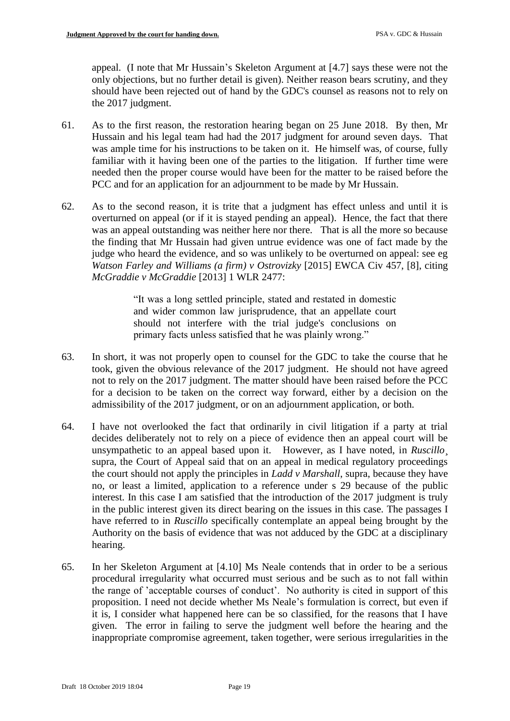appeal. (I note that Mr Hussain's Skeleton Argument at [4.7] says these were not the only objections, but no further detail is given). Neither reason bears scrutiny, and they should have been rejected out of hand by the GDC's counsel as reasons not to rely on the 2017 judgment.

- 61. As to the first reason, the restoration hearing began on 25 June 2018. By then, Mr Hussain and his legal team had had the 2017 judgment for around seven days. That was ample time for his instructions to be taken on it. He himself was, of course, fully familiar with it having been one of the parties to the litigation. If further time were needed then the proper course would have been for the matter to be raised before the PCC and for an application for an adjournment to be made by Mr Hussain.
- 62. As to the second reason, it is trite that a judgment has effect unless and until it is overturned on appeal (or if it is stayed pending an appeal). Hence, the fact that there was an appeal outstanding was neither here nor there. That is all the more so because the finding that Mr Hussain had given untrue evidence was one of fact made by the judge who heard the evidence, and so was unlikely to be overturned on appeal: see eg *Watson Farley and Williams (a firm) v Ostrovizky* [2015] EWCA Civ 457, [8], citing *McGraddie v McGraddie* [2013] 1 WLR 2477:

"It was a long settled principle, stated and restated in domestic and wider common law jurisprudence, that an appellate court should not interfere with the trial judge's conclusions on primary facts unless satisfied that he was plainly wrong."

- 63. In short, it was not properly open to counsel for the GDC to take the course that he took, given the obvious relevance of the 2017 judgment. He should not have agreed not to rely on the 2017 judgment. The matter should have been raised before the PCC for a decision to be taken on the correct way forward, either by a decision on the admissibility of the 2017 judgment, or on an adjournment application, or both.
- 64. I have not overlooked the fact that ordinarily in civil litigation if a party at trial decides deliberately not to rely on a piece of evidence then an appeal court will be unsympathetic to an appeal based upon it. However, as I have noted, in *Ruscillo*. supra, the Court of Appeal said that on an appeal in medical regulatory proceedings the court should not apply the principles in *Ladd v Marshall*, supra, because they have no, or least a limited, application to a reference under s 29 because of the public interest. In this case I am satisfied that the introduction of the 2017 judgment is truly in the public interest given its direct bearing on the issues in this case. The passages I have referred to in *Ruscillo* specifically contemplate an appeal being brought by the Authority on the basis of evidence that was not adduced by the GDC at a disciplinary hearing.
- 65. In her Skeleton Argument at [4.10] Ms Neale contends that in order to be a serious procedural irregularity what occurred must serious and be such as to not fall within the range of 'acceptable courses of conduct'. No authority is cited in support of this proposition. I need not decide whether Ms Neale's formulation is correct, but even if it is, I consider what happened here can be so classified, for the reasons that I have given. The error in failing to serve the judgment well before the hearing and the inappropriate compromise agreement, taken together, were serious irregularities in the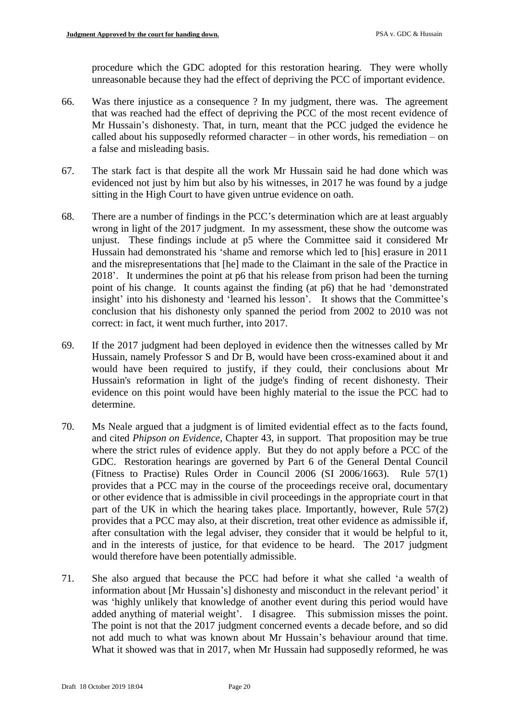procedure which the GDC adopted for this restoration hearing. They were wholly unreasonable because they had the effect of depriving the PCC of important evidence.

- 66. Was there injustice as a consequence ? In my judgment, there was. The agreement that was reached had the effect of depriving the PCC of the most recent evidence of Mr Hussain's dishonesty. That, in turn, meant that the PCC judged the evidence he called about his supposedly reformed character – in other words, his remediation – on a false and misleading basis.
- 67. The stark fact is that despite all the work Mr Hussain said he had done which was evidenced not just by him but also by his witnesses, in 2017 he was found by a judge sitting in the High Court to have given untrue evidence on oath.
- 68. There are a number of findings in the PCC's determination which are at least arguably wrong in light of the 2017 judgment. In my assessment, these show the outcome was unjust. These findings include at p5 where the Committee said it considered Mr Hussain had demonstrated his 'shame and remorse which led to [his] erasure in 2011 and the misrepresentations that [he] made to the Claimant in the sale of the Practice in 2018'. It undermines the point at p6 that his release from prison had been the turning point of his change. It counts against the finding (at p6) that he had 'demonstrated insight' into his dishonesty and 'learned his lesson'. It shows that the Committee's conclusion that his dishonesty only spanned the period from 2002 to 2010 was not correct: in fact, it went much further, into 2017.
- 69. If the 2017 judgment had been deployed in evidence then the witnesses called by Mr Hussain, namely Professor S and Dr B, would have been cross-examined about it and would have been required to justify, if they could, their conclusions about Mr Hussain's reformation in light of the judge's finding of recent dishonesty. Their evidence on this point would have been highly material to the issue the PCC had to determine.
- 70. Ms Neale argued that a judgment is of limited evidential effect as to the facts found, and cited *Phipson on Evidence,* Chapter 43, in support. That proposition may be true where the strict rules of evidence apply. But they do not apply before a PCC of the GDC. Restoration hearings are governed by Part 6 of the General Dental Council (Fitness to Practise) Rules Order in Council 2006 (SI 2006/1663). Rule 57(1) provides that a PCC may in the course of the proceedings receive oral, documentary or other evidence that is admissible in civil proceedings in the appropriate court in that part of the UK in which the hearing takes place. Importantly, however, Rule 57(2) provides that a PCC may also, at their discretion, treat other evidence as admissible if, after consultation with the legal adviser, they consider that it would be helpful to it, and in the interests of justice, for that evidence to be heard. The 2017 judgment would therefore have been potentially admissible.
- 71. She also argued that because the PCC had before it what she called 'a wealth of information about [Mr Hussain's] dishonesty and misconduct in the relevant period' it was 'highly unlikely that knowledge of another event during this period would have added anything of material weight'. I disagree. This submission misses the point. The point is not that the 2017 judgment concerned events a decade before, and so did not add much to what was known about Mr Hussain's behaviour around that time. What it showed was that in 2017, when Mr Hussain had supposedly reformed, he was